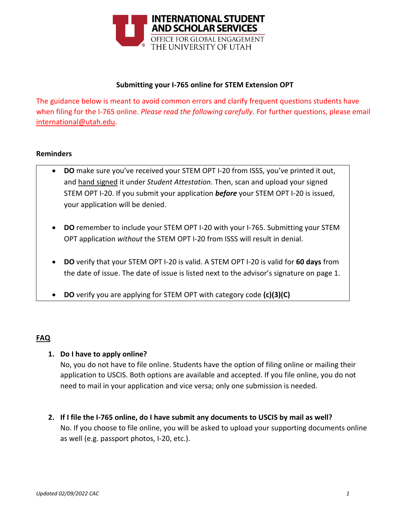

#### **Submitting your I-765 online for STEM Extension OPT**

The guidance below is meant to avoid common errors and clarify frequent questions students have when filing for the I-765 online. *Please read the following carefully*. For further questions, please email [international@utah.edu.](mailto:international@utah.edu)

#### **Reminders**

- **DO** make sure you've received your STEM OPT I-20 from ISSS, you've printed it out, and hand signed it under *Student Attestation*. Then, scan and upload your signed STEM OPT I-20. If you submit your application *before* your STEM OPT I-20 is issued, your application will be denied.
- **DO** remember to include your STEM OPT I-20 with your I-765. Submitting your STEM OPT application *without* the STEM OPT I-20 from ISSS will result in denial.
- **DO** verify that your STEM OPT I-20 is valid. A STEM OPT I-20 is valid for **60 days** from the date of issue. The date of issue is listed next to the advisor's signature on page 1.
- **DO** verify you are applying for STEM OPT with category code **(c)(3)(C)**

# **FAQ**

#### **1. Do I have to apply online?**

No, you do not have to file online. Students have the option of filing online or mailing their application to USCIS. Both options are available and accepted. If you file online, you do not need to mail in your application and vice versa; only one submission is needed.

**2. If I file the I-765 online, do I have submit any documents to USCIS by mail as well?** No. If you choose to file online, you will be asked to upload your supporting documents online as well (e.g. passport photos, I-20, etc.).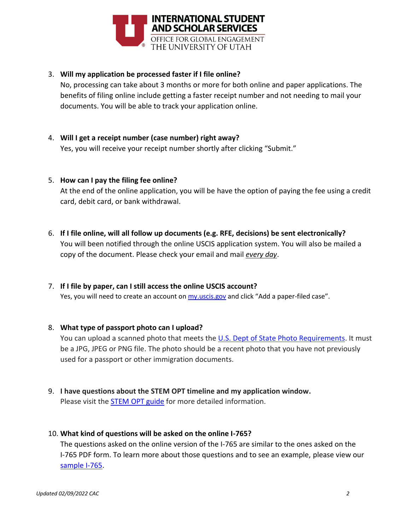

# 3. **Will my application be processed faster if I file online?**

No, processing can take about 3 months or more for both online and paper applications. The benefits of filing online include getting a faster receipt number and not needing to mail your documents. You will be able to track your application online.

4. **Will I get a receipt number (case number) right away?**

Yes, you will receive your receipt number shortly after clicking "Submit."

5. **How can I pay the filing fee online?**

At the end of the online application, you will be have the option of paying the fee using a credit card, debit card, or bank withdrawal.

- 6. **If I file online, will all follow up documents (e.g. RFE, decisions) be sent electronically?** You will been notified through the online USCIS application system. You will also be mailed a copy of the document. Please check your email and mail *every day*.
- 7. **If I file by paper, can I still access the online USCIS account?**  Yes, you will need to create an account on [my.uscis.gov](https://my.uscis.gov/) and click "Add a paper-filed case".

# 8. **What type of passport photo can I upload?**

You can upload a scanned photo that meets the U.S. [Dept of State Photo Requirements.](https://travel.state.gov/content/travel/en/us-visas/visa-information-resources/photos.html) It must be a JPG, JPEG or PNG file. The photo should be a recent photo that you have not previously used for a passport or other immigration documents.

9. **I have questions about the STEM OPT timeline and my application window.** Please visit the [STEM OPT guide](https://isss.utah.edu/forms-publications/documents/f1-stem-opt-policy-guide.pdf) for more detailed information.

#### 10. **What kind of questions will be asked on the online I-765?**

The questions asked on the online version of the I-765 are similar to the ones asked on the I-765 PDF form. To learn more about those questions and to see an example, please view our [sample I-765.](https://isss.utah.edu/forms-publications/documents/f-1-student-stem-opt-i-765-sample.pdf)